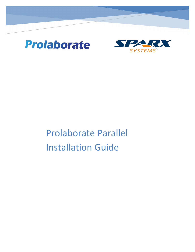



# Prolaborate Parallel Installation Guide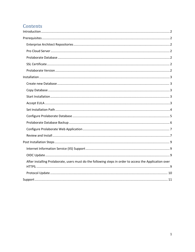# Contents

| After installing Prolaborate, users must do the following steps in order to access the Application over |
|---------------------------------------------------------------------------------------------------------|
|                                                                                                         |
|                                                                                                         |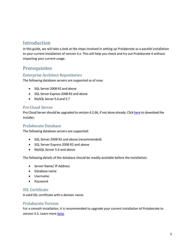## <span id="page-2-0"></span>Introduction

In this guide, we will take a look at the steps involved in setting up Prolaborate as a parallelinstallation to your current installation of version 3.x. This will help you check and try out Prolaborate 4 without impacting your current usage.

## <span id="page-2-1"></span>**Prerequisites**

#### <span id="page-2-2"></span>Enterprise Architect Repositories

The following database servers are supported as of now:

- SQL Server 2008 R2 and above
- SQL Server Express 2008 R2 and above
- MySQL Server 5.6 and 5.7

#### <span id="page-2-3"></span>Pro Cloud Server

Pro Cloud Server should be upgraded to version 4.2.66, if not done already. Click [here](https://sparxsystems.com/products/procloudserver/downloads.html) to download the installer.

#### <span id="page-2-4"></span>Prolaborate Database

The following database servers are supported:

- SQL Server 2008 R2 and above (recommended)
- SQL Server Express 2008 R2 and above
- MySQL Server 5.6 and above

The following details of the database should be readily available before the installation:

- Server Name/ IP Address
- Database name
- Username
- Password

#### <span id="page-2-5"></span>SSL Certificate

A valid SSL certificate with a domain name.

#### <span id="page-2-6"></span>Prolaborate Version

For a smooth installation, it is recommended to upgrade your current installation of Prolaborate to version 3.5. Learn more [here.](https://prolaborate.sparxsystems.com/resources/release-history/release-notes-v3?id=350)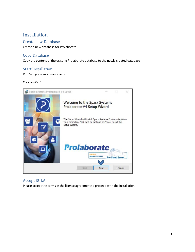## <span id="page-3-0"></span>Installation

#### <span id="page-3-1"></span>Create new Database

Create a new database for Prolaborate.

#### <span id="page-3-2"></span>Copy Database

Copy the content of the existing Prolaborate database to the newly created database

#### <span id="page-3-3"></span>Start Installation

Run *Setup.exe* as administrator.

#### Click on *Next*



#### <span id="page-3-4"></span>Accept EULA

Please accept the terms in the license agreement to proceed with the installation.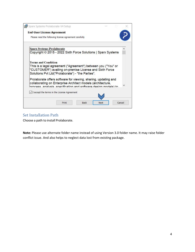| <b>End-User License Agreement</b>                                                                                                                                                              |  |  |
|------------------------------------------------------------------------------------------------------------------------------------------------------------------------------------------------|--|--|
| Please read the following license agreement carefully                                                                                                                                          |  |  |
| <b>Sparx Systems Prolaborate</b>                                                                                                                                                               |  |  |
| Copyright © 2015 - 2022 Sixth Force Solutions   Sparx Systems                                                                                                                                  |  |  |
| This is a legal agreement ("Agreement") between you ("You" or<br>"CUSTOMER") availing on-premise License and Sixth Force                                                                       |  |  |
| Solutions Pvt Ltd("Prolaborate") - "the Parties".                                                                                                                                              |  |  |
| Prolaborate offers software for viewing, sharing, updating and<br>collaborating on Enterprise Architect models (architecture,<br>process analysis specification and software design models) to |  |  |
| $\sqrt{}$ I accept the terms in the License Agreement                                                                                                                                          |  |  |

#### <span id="page-4-0"></span>Set Installation Path

Choose a path to install Prolaborate.

**Note:** Please use alternate folder name instead of using Version 3.0 folder name. It may raise folder conflict issue. And also helps to neglect data lost from existing package.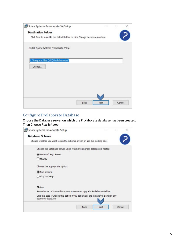| Sparx Systems Prolaborate-V4 Setup                                             |  |  |
|--------------------------------------------------------------------------------|--|--|
| <b>Destination Folder</b>                                                      |  |  |
| Click Next to install to the default folder or click Change to choose another. |  |  |
| Install Sparx Systems Prolaborate-V4 to:                                       |  |  |
| C:\Program Files (x86)\ProlaborateV4\                                          |  |  |
| Change                                                                         |  |  |
|                                                                                |  |  |
|                                                                                |  |  |
|                                                                                |  |  |
|                                                                                |  |  |
|                                                                                |  |  |

#### <span id="page-5-0"></span>Configure Prolaborate Database

Choose the Database server on which the Prolaborate database has been created. Then Choose *Run Schema*

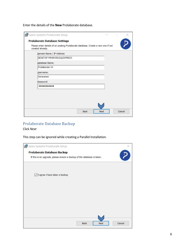Enterthe details of the **New** Prolaborate database.

| Domain Name / IP Address   |  |
|----------------------------|--|
| DESKTOP-P9V8VSR\SQLEXPRESS |  |
| Database Name:             |  |
| Prolaborate V4             |  |
| Username:                  |  |
| Sarayanan                  |  |
| Password:                  |  |
|                            |  |
|                            |  |
|                            |  |

#### <span id="page-6-0"></span>Prolaborate Database Backup Click *Next*

This step can be ignored while creating a Parallel Installation.

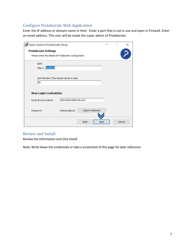## <span id="page-7-0"></span>Configure Prolaborate Web Application

Enter the IP address or domain name in *Host.* Enter a port that is not in use and open in Firewall. Enter an email address. This user will be made the super admin of Prolaborate.

| <b>Prolaborate Settings</b>                            |                                         |                   |  |  |
|--------------------------------------------------------|-----------------------------------------|-------------------|--|--|
| Please enter the details of Prolaborate Configuration. |                                         |                   |  |  |
| Host                                                   |                                         |                   |  |  |
| localhost<br>http://                                   |                                         |                   |  |  |
|                                                        |                                         |                   |  |  |
|                                                        | Port Number (This should not be in use) |                   |  |  |
|                                                        |                                         |                   |  |  |
| 80                                                     |                                         |                   |  |  |
|                                                        |                                         |                   |  |  |
|                                                        |                                         |                   |  |  |
| <b>New Login Credentials:</b>                          |                                         |                   |  |  |
| Email ID of an Admin:                                  | admin@prolaborate.com                   |                   |  |  |
|                                                        |                                         |                   |  |  |
| Password:                                              | Welcome@123                             | Copy to clipboard |  |  |

### <span id="page-7-1"></span>Review and Install

Review the information and click *Install*

Note: Write down the credentials or take a screenshot of this page for later reference.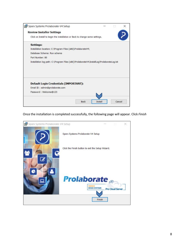

#### Once the installation is completed successfully, the following page will appear. Click *Finish*

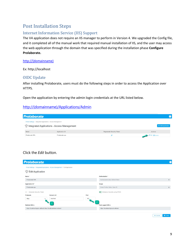## <span id="page-9-0"></span>Post Installation Steps

## <span id="page-9-1"></span>Internet Information Service (IIS) Support

The V4 application does not require an IIS manager to perform in Version 4. We upgraded the Config file, and it completed all of the manual work that required manual installation of IIS, and the user may access the web application through the domain that was specified during the installation phase **Configure Prolaborate.**

#### [http://\(domainname\)](http://(domainname))

Ex: http://localhost

#### <span id="page-9-2"></span>OIDC Update

<span id="page-9-3"></span>After installing Prolaborate, users must do the following steps in order to access the Application over HTTPS.

Open the application by entering the admin login credentials at the URL listed below.

#### [http://\(domainname\)/Applications/Admin](http://domainname/Applications/Admin)

| <b>Prolaborate</b>                                            |                                                        |                           |                   |
|---------------------------------------------------------------|--------------------------------------------------------|---------------------------|-------------------|
| Portal Settings / Integrated Applications - Access Management | <i>eff</i> Integrated Applications - Access Management |                           | + Add Application |
| Name                                                          | Application ID                                         | Regenerate Security Token | Actions           |
| Prolaborate SPA                                               | Prolaborate-spa                                        |                           | Edit Pelete       |

#### Click the *Edit* button.

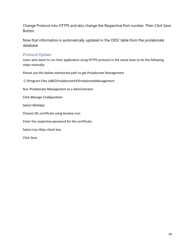Change Protocol into HTTPS and also change the Respective Port number. Then *Click* Save Button.

Now that information is automatically updated in the OIDC table from the prolaborate database.

### <span id="page-10-0"></span>Protocol Update

Users who want to run their application using HTTPS protocol in the sense have to do the following steps manually.

Please use this below-mentioned path to get Prolaborate Management

C:\Program Files (x86)\ProlaborateV4\ProlaborateManagement

Run *Prolaborate Management* as a Administrator.

Click *Manage Configuration*

Select *WebApp*

Choose SSL certificate using browse icon

Enter the respective password for the certificate.

Select *Use Https* check box.

Click *Save.*